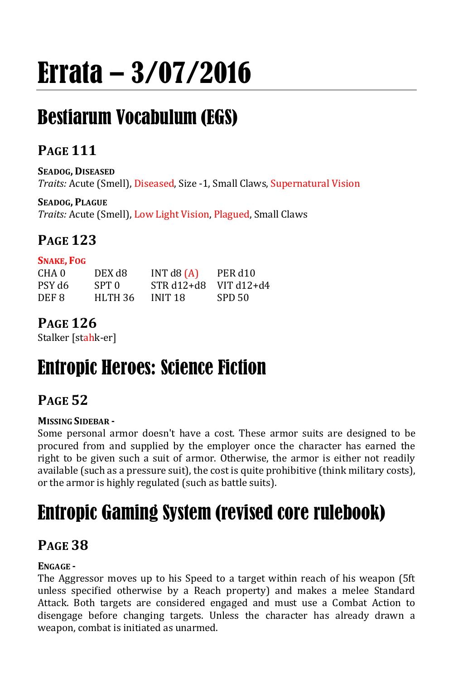# Errata – 3/07/2016

## Bestiarum Vocabulum (EGS)

### **PAGE 111**

**SEADOG, DISEASED** *Traits:* Acute (Smell), Diseased, Size -1, Small Claws, Supernatural Vision

**SEADOG, PLAGUE** *Traits:* Acute (Smell), Low Light Vision, Plagued, Small Claws

## **PAGE 123**

|--|

| CHA 0  | DEX d8  | INT $d8$ $(A)$ | PER d <sub>10</sub> |
|--------|---------|----------------|---------------------|
| PSY d6 | SPT 0   | $STR d12+d8$   | VIT $d12 + d4$      |
| DEF 8  | HLTH 36 | INIT 18        | SPD 50              |

## **PAGE 126**

Stalker [stahk-er]

## Entropic Heroes: Science Fiction

## **PAGE 52**

### **MISSING SIDEBAR -**

Some personal armor doesn't have a cost. These armor suits are designed to be procured from and supplied by the employer once the character has earned the right to be given such a suit of armor. Otherwise, the armor is either not readily available (such as a pressure suit), the cost is quite prohibitive (think military costs), or the armor is highly regulated (such as battle suits).

## Entropic Gaming System (revised core rulebook)

### **PAGE 38**

### **ENGAGE -**

The Aggressor moves up to his Speed to a target within reach of his weapon (5ft unless specified otherwise by a Reach property) and makes a melee Standard Attack. Both targets are considered engaged and must use a Combat Action to disengage before changing targets. Unless the character has already drawn a weapon, combat is initiated as unarmed.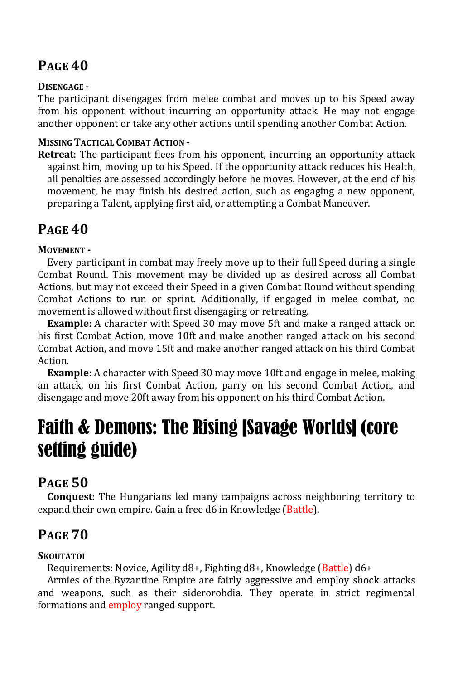### **PAGE 40**

### **DISENGAGE -**

The participant disengages from melee combat and moves up to his Speed away from his opponent without incurring an opportunity attack. He may not engage another opponent or take any other actions until spending another Combat Action.

#### **MISSING TACTICAL COMBAT ACTION -**

**Retreat**: The participant flees from his opponent, incurring an opportunity attack against him, moving up to his Speed. If the opportunity attack reduces his Health, all penalties are assessed accordingly before he moves. However, at the end of his movement, he may finish his desired action, such as engaging a new opponent, preparing a Talent, applying first aid, or attempting a Combat Maneuver.

### **PAGE 40**

### **MOVEMENT -**

Every participant in combat may freely move up to their full Speed during a single Combat Round. This movement may be divided up as desired across all Combat Actions, but may not exceed their Speed in a given Combat Round without spending Combat Actions to run or sprint. Additionally, if engaged in melee combat, no movement is allowed without first disengaging or retreating.

**Example**: A character with Speed 30 may move 5ft and make a ranged attack on his first Combat Action, move 10ft and make another ranged attack on his second Combat Action, and move 15ft and make another ranged attack on his third Combat Action.

**Example**: A character with Speed 30 may move 10ft and engage in melee, making an attack, on his first Combat Action, parry on his second Combat Action, and disengage and move 20ft away from his opponent on his third Combat Action.

## Faith & Demons: The Rising [Savage Worlds] (core setting guide)

### **PAGE 50**

**Conquest**: The Hungarians led many campaigns across neighboring territory to expand their own empire. Gain a free d6 in Knowledge (Battle).

### **PAGE 70**

### **SKOUTATOI**

Requirements: Novice, Agility d8+, Fighting d8+, Knowledge (Battle) d6+

Armies of the Byzantine Empire are fairly aggressive and employ shock attacks and weapons, such as their siderorobdia. They operate in strict regimental formations and employ ranged support.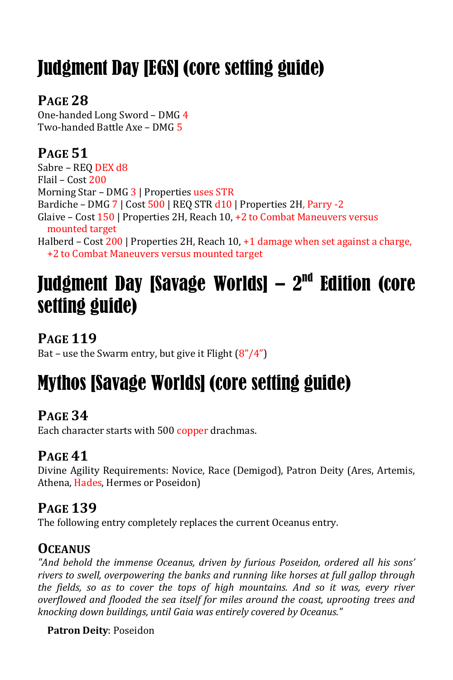## Judgment Day [EGS] (core setting guide)

### **PAGE 28**

One-handed Long Sword – DMG 4 Two-handed Battle Axe – DMG 5

## **PAGE 51**

Sabre - REQ DEX d8 Flail – Cost 200 Morning Star – DMG 3 | Properties uses STR Bardiche – DMG 7 | Cost 500 | REQ STR d10 | Properties 2H, Parry -2 Glaive – Cost 150 | Properties 2H, Reach 10, +2 to Combat Maneuvers versus mounted target Halberd – Cost 200 | Properties 2H, Reach 10, +1 damage when set against a charge, +2 to Combat Maneuvers versus mounted target

## Judgment Day [Savage Worlds]  $-2<sup>nd</sup>$  Edition (core setting guide)

**PAGE 119**

Bat – use the Swarm entry, but give it Flight  $(8''/4'')$ 

## Mythos [Savage Worlds] (core setting guide)

### **PAGE 34**

Each character starts with 500 copper drachmas.

### **PAGE 41**

Divine Agility Requirements: Novice, Race (Demigod), Patron Deity (Ares, Artemis, Athena, Hades, Hermes or Poseidon)

### **PAGE 139**

The following entry completely replaces the current Oceanus entry.

### **OCEANUS**

*"And behold the immense Oceanus, driven by furious Poseidon, ordered all his sons' rivers to swell, overpowering the banks and running like horses at full gallop through the fields, so as to cover the tops of high mountains. And so it was, every river overflowed and flooded the sea itself for miles around the coast, uprooting trees and knocking down buildings, until Gaia was entirely covered by Oceanus."*

### **Patron Deity**: Poseidon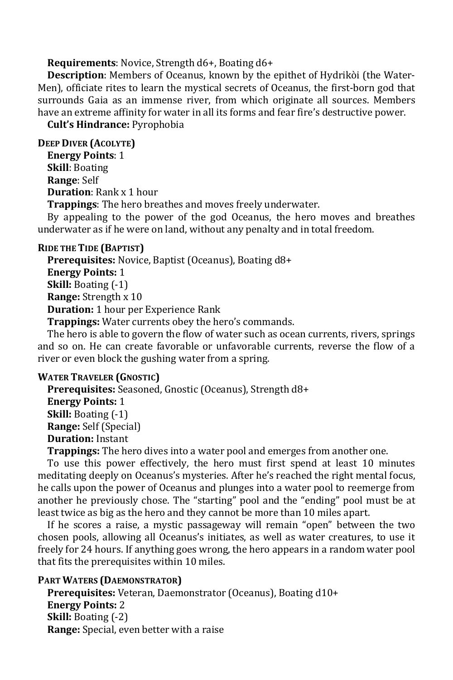**Requirements**: Novice, Strength d6+, Boating d6+

**Description**: Members of Oceanus, known by the epithet of Hydrikòi (the Water-Men), officiate rites to learn the mystical secrets of Oceanus, the first-born god that surrounds Gaia as an immense river, from which originate all sources. Members have an extreme affinity for water in all its forms and fear fire's destructive power.

**Cult's Hindrance:** Pyrophobia

**DEEP DIVER (ACOLYTE)**

**Energy Points**: 1 **Skill**: Boating **Range**: Self **Duration**: Rank x 1 hour

**Trappings**: The hero breathes and moves freely underwater.

By appealing to the power of the god Oceanus, the hero moves and breathes underwater as if he were on land, without any penalty and in total freedom.

#### **RIDE THE TIDE (BAPTIST)**

**Prerequisites:** Novice, Baptist (Oceanus), Boating d8+ **Energy Points:** 1 **Skill:** Boating (-1) **Range:** Strength x 10 **Duration:** 1 hour per Experience Rank **Trappings:** Water currents obey the hero's commands.

The hero is able to govern the flow of water such as ocean currents, rivers, springs and so on. He can create favorable or unfavorable currents, reverse the flow of a river or even block the gushing water from a spring.

#### **WATER TRAVELER (GNOSTIC)**

**Prerequisites:** Seasoned, Gnostic (Oceanus), Strength d8+ **Energy Points:** 1 **Skill:** Boating (-1) **Range:** Self (Special) **Duration:** Instant **Trappings:** The hero dives into a water pool and emerges from another one.

To use this power effectively, the hero must first spend at least 10 minutes meditating deeply on Oceanus's mysteries. After he's reached the right mental focus, he calls upon the power of Oceanus and plunges into a water pool to reemerge from another he previously chose. The "starting" pool and the "ending" pool must be at least twice as big as the hero and they cannot be more than 10 miles apart.

If he scores a raise, a mystic passageway will remain "open" between the two chosen pools, allowing all Oceanus's initiates, as well as water creatures, to use it freely for 24 hours. If anything goes wrong, the hero appears in a random water pool that fits the prerequisites within 10 miles.

#### **PART WATERS (DAEMONSTRATOR)**

**Prerequisites:** Veteran, Daemonstrator (Oceanus), Boating d10+ **Energy Points:** 2 **Skill:** Boating (-2) **Range:** Special, even better with a raise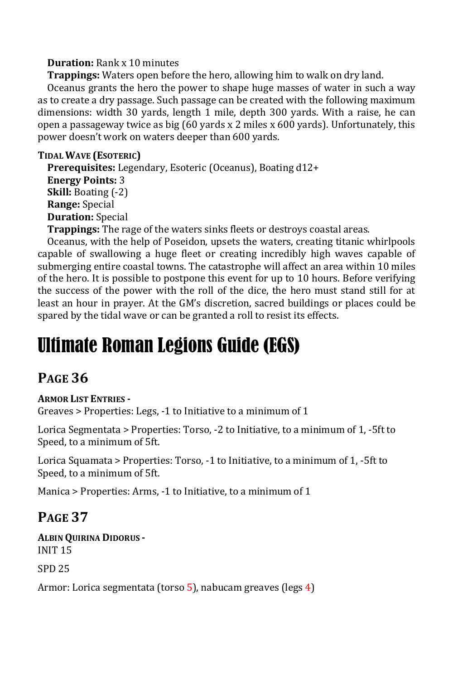#### **Duration:** Rank x 10 minutes

**Trappings:** Waters open before the hero, allowing him to walk on dry land.

Oceanus grants the hero the power to shape huge masses of water in such a way as to create a dry passage. Such passage can be created with the following maximum dimensions: width 30 yards, length 1 mile, depth 300 yards. With a raise, he can open a passageway twice as big (60 yards x 2 miles x 600 yards). Unfortunately, this power doesn't work on waters deeper than 600 yards.

### **TIDAL WAVE (ESOTERIC)**

**Prerequisites:** Legendary, Esoteric (Oceanus), Boating d12+ **Energy Points:** 3 **Skill:** Boating (-2) **Range:** Special **Duration:** Special

**Trappings:** The rage of the waters sinks fleets or destroys coastal areas.

Oceanus, with the help of Poseidon, upsets the waters, creating titanic whirlpools capable of swallowing a huge fleet or creating incredibly high waves capable of submerging entire coastal towns. The catastrophe will affect an area within 10 miles of the hero. It is possible to postpone this event for up to 10 hours. Before verifying the success of the power with the roll of the dice, the hero must stand still for at least an hour in prayer. At the GM's discretion, sacred buildings or places could be spared by the tidal wave or can be granted a roll to resist its effects.

## Ultimate Roman Legions Guide (EGS)

### **PAGE 36**

#### **ARMOR LIST ENTRIES -**

Greaves > Properties: Legs, -1 to Initiative to a minimum of 1

Lorica Segmentata > Properties: Torso, -2 to Initiative, to a minimum of 1, -5ft to Speed, to a minimum of 5ft.

Lorica Squamata > Properties: Torso, -1 to Initiative, to a minimum of 1, -5ft to Speed, to a minimum of 5ft.

Manica > Properties: Arms, -1 to Initiative, to a minimum of 1

### **PAGE 37**

**ALBIN QUIRINA DIDORUS -** INIT 15

SPD 25

Armor: Lorica segmentata (torso 5), nabucam greaves (legs 4)